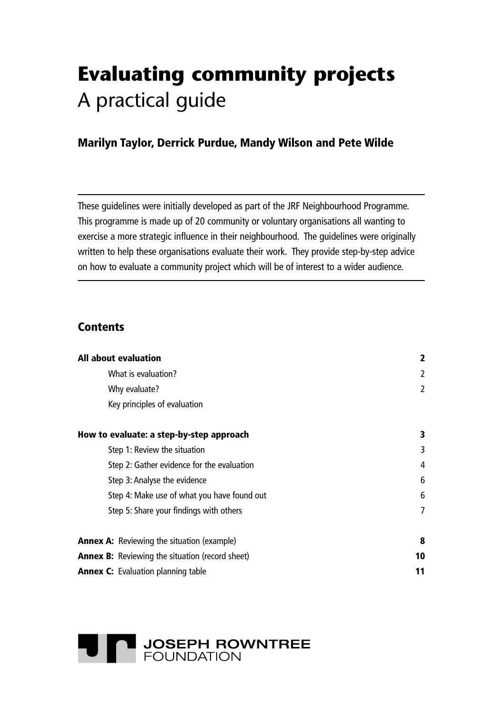## **Evaluating community projects** A practical guide

#### Marilyn Taylor, Derrick Purdue, Mandy Wilson and Pete Wilde

These guidelines were initially developed as part of the JRF Neighbourhood Programme. This programme is made up of 20 community or voluntary organisations all wanting to exercise a more strategic influence in their neighbourhood. The guidelines were originally written to help these organisations evaluate their work. They provide step-by-step advice on how to evaluate a community project which will be of interest to a wider audience.

#### **Contents**

| <b>All about evaluation</b>                            | 2  |
|--------------------------------------------------------|----|
| What is evaluation?                                    | 2  |
| Why evaluate?                                          | 2  |
| Key principles of evaluation                           |    |
| How to evaluate: a step-by-step approach               | 3. |
| Step 1: Review the situation                           | 3  |
| Step 2: Gather evidence for the evaluation             | 4  |
| Step 3: Analyse the evidence                           | 6  |
| Step 4: Make use of what you have found out            | 6  |
| Step 5: Share your findings with others                | 7  |
| <b>Annex A:</b> Reviewing the situation (example)      | 8  |
| <b>Annex B:</b> Reviewing the situation (record sheet) | 10 |
| <b>Annex C:</b> Evaluation planning table              | 11 |

# **JOSEPH ROWNTREE**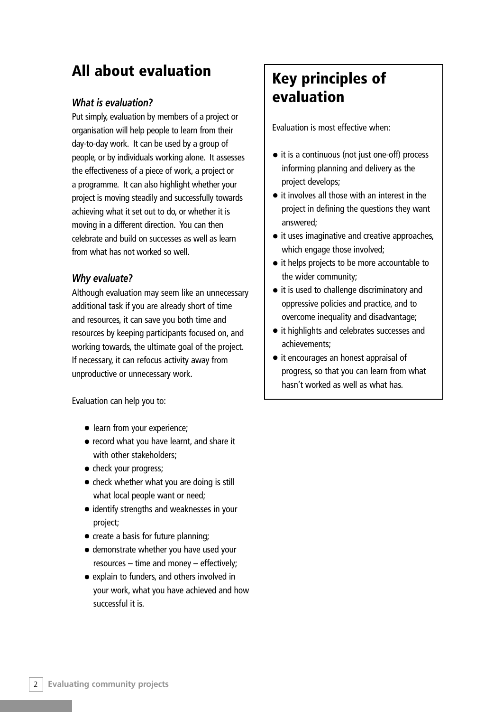### All about evaluation

#### *What is evaluation?*

Put simply, evaluation by members of a project or organisation will help people to learn from their day-to-day work. It can be used by a group of people, or by individuals working alone. It assesses the effectiveness of a piece of work, a project or a programme. It can also highlight whether your project is moving steadily and successfully towards achieving what it set out to do, or whether it is moving in a different direction. You can then celebrate and build on successes as well as learn from what has not worked so well.

#### *Why evaluate?*

Although evaluation may seem like an unnecessary additional task if you are already short of time and resources, it can save you both time and resources by keeping participants focused on, and working towards, the ultimate goal of the project. If necessary, it can refocus activity away from unproductive or unnecessary work.

Evaluation can help you to:

- learn from your experience;
- record what you have learnt, and share it with other stakeholders;
- check your progress;
- check whether what you are doing is still what local people want or need;
- identify strengths and weaknesses in your project;
- create a basis for future planning;
- demonstrate whether you have used your resources – time and money – effectively;
- explain to funders, and others involved in your work, what you have achieved and how successful it is.

### Key principles of evaluation

Evaluation is most effective when:

- it is a continuous (not just one-off) process informing planning and delivery as the project develops;
- it involves all those with an interest in the project in defining the questions they want answered;
- it uses imaginative and creative approaches, which engage those involved;
- it helps projects to be more accountable to the wider community;
- it is used to challenge discriminatory and oppressive policies and practice, and to overcome inequality and disadvantage;
- it highlights and celebrates successes and achievements;
- it encourages an honest appraisal of progress, so that you can learn from what hasn't worked as well as what has.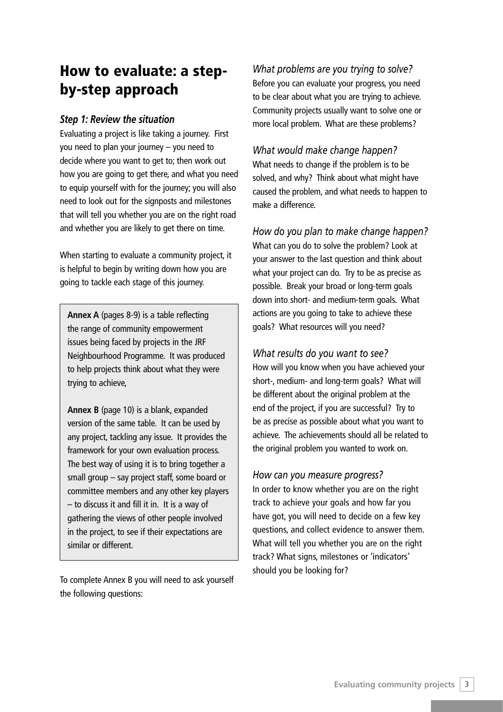### How to evaluate: a stepby-step approach

#### *Step 1: Review the situation*

Evaluating a project is like taking a journey. First you need to plan your journey – you need to decide where you want to get to; then work out how you are going to get there, and what you need to equip yourself with for the journey; you will also need to look out for the signposts and milestones that will tell you whether you are on the right road and whether you are likely to get there on time.

When starting to evaluate a community project, it is helpful to begin by writing down how you are going to tackle each stage of this journey.

**Annex A** (pages 8-9) is a table reflecting the range of community empowerment issues being faced by projects in the JRF Neighbourhood Programme. It was produced to help projects think about what they were trying to achieve,

**Annex B** (page 10) is a blank, expanded version of the same table. It can be used by any project, tackling any issue. It provides the framework for your own evaluation process. The best way of using it is to bring together a small group – say project staff, some board or committee members and any other key players – to discuss it and fill it in. It is a way of gathering the views of other people involved in the project, to see if their expectations are similar or different.

To complete Annex B you will need to ask yourself the following questions:

*What problems are you trying to solve?* Before you can evaluate your progress, you need to be clear about what you are trying to achieve. Community projects usually want to solve one or more local problem. What are these problems?

*What would make change happen?* What needs to change if the problem is to be solved, and why? Think about what might have caused the problem, and what needs to happen to make a difference.

*How do you plan to make change happen?* What can you do to solve the problem? Look at your answer to the last question and think about what your project can do. Try to be as precise as possible. Break your broad or long-term goals down into short- and medium-term goals. What actions are you going to take to achieve these goals? What resources will you need?

#### *What results do you want to see?*

How will you know when you have achieved your short-, medium- and long-term goals? What will be different about the original problem at the end of the project, if you are successful? Try to be as precise as possible about what you want to achieve. The achievements should all be related to the original problem you wanted to work on.

#### *How can you measure progress?*

In order to know whether you are on the right track to achieve your goals and how far you have got, you will need to decide on a few key questions, and collect evidence to answer them. What will tell you whether you are on the right track? What signs, milestones or 'indicators' should you be looking for?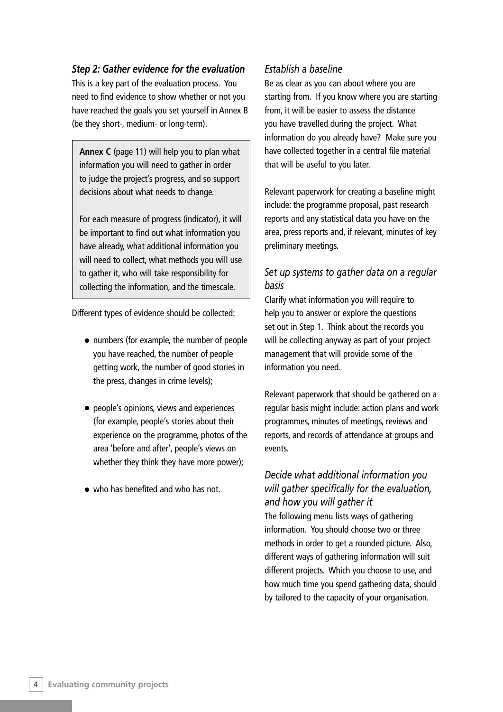#### *Step 2: Gather evidence for the evaluation*

This is a key part of the evaluation process. You need to find evidence to show whether or not you have reached the goals you set yourself in Annex B (be they short-, medium- or long-term).

**Annex C** (page 11) will help you to plan what information you will need to gather in order to judge the project's progress, and so support decisions about what needs to change.

For each measure of progress (indicator), it will be important to find out what information you have already, what additional information you will need to collect, what methods you will use to gather it, who will take responsibility for collecting the information, and the timescale.

Different types of evidence should be collected:

- numbers (for example, the number of people you have reached, the number of people getting work, the number of good stories in the press, changes in crime levels);
- people's opinions, views and experiences (for example, people's stories about their experience on the programme, photos of the area 'before and after', people's views on whether they think they have more power);
- who has benefited and who has not.

#### *Establish a baseline*

Be as clear as you can about where you are starting from. If you know where you are starting from, it will be easier to assess the distance you have travelled during the project. What information do you already have? Make sure you have collected together in a central file material that will be useful to you later.

Relevant paperwork for creating a baseline might include: the programme proposal, past research reports and any statistical data you have on the area, press reports and, if relevant, minutes of key preliminary meetings.

#### *Set up systems to gather data on a regular basis*

Clarify what information you will require to help you to answer or explore the questions set out in Step 1. Think about the records you will be collecting anyway as part of your project management that will provide some of the information you need.

Relevant paperwork that should be gathered on a regular basis might include: action plans and work programmes, minutes of meetings, reviews and reports, and records of attendance at groups and events.

#### *Decide what additional information you will gather specifically for the evaluation, and how you will gather it*

The following menu lists ways of gathering information. You should choose two or three methods in order to get a rounded picture. Also, different ways of gathering information will suit different projects. Which you choose to use, and how much time you spend gathering data, should by tailored to the capacity of your organisation.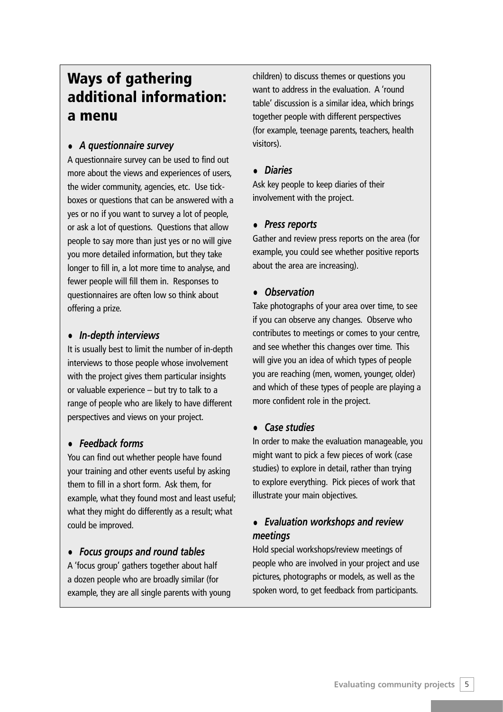### Ways of gathering additional information: a menu

#### *• A questionnaire survey*

A questionnaire survey can be used to find out more about the views and experiences of users, the wider community, agencies, etc. Use tickboxes or questions that can be answered with a yes or no if you want to survey a lot of people, or ask a lot of questions. Questions that allow people to say more than just yes or no will give you more detailed information, but they take longer to fill in, a lot more time to analyse, and fewer people will fill them in. Responses to questionnaires are often low so think about offering a prize.

#### *• In-depth interviews*

It is usually best to limit the number of in-depth interviews to those people whose involvement with the project gives them particular insights or valuable experience – but try to talk to a range of people who are likely to have different perspectives and views on your project.

#### *• Feedback forms*

You can find out whether people have found your training and other events useful by asking them to fill in a short form. Ask them, for example, what they found most and least useful; what they might do differently as a result; what could be improved.

#### *• Focus groups and round tables*

A 'focus group' gathers together about half a dozen people who are broadly similar (for example, they are all single parents with young

children) to discuss themes or questions you want to address in the evaluation. A 'round table' discussion is a similar idea, which brings together people with different perspectives (for example, teenage parents, teachers, health visitors).

#### *• Diaries*

Ask key people to keep diaries of their involvement with the project.

#### *• Press reports*

Gather and review press reports on the area (for example, you could see whether positive reports about the area are increasing).

#### *• Observation*

Take photographs of your area over time, to see if you can observe any changes. Observe who contributes to meetings or comes to your centre, and see whether this changes over time. This will give you an idea of which types of people you are reaching (men, women, younger, older) and which of these types of people are playing a more confident role in the project.

#### *• Case studies*

In order to make the evaluation manageable, you might want to pick a few pieces of work (case studies) to explore in detail, rather than trying to explore everything. Pick pieces of work that illustrate your main objectives.

#### *• Evaluation workshops and review meetings*

Hold special workshops/review meetings of people who are involved in your project and use pictures, photographs or models, as well as the spoken word, to get feedback from participants.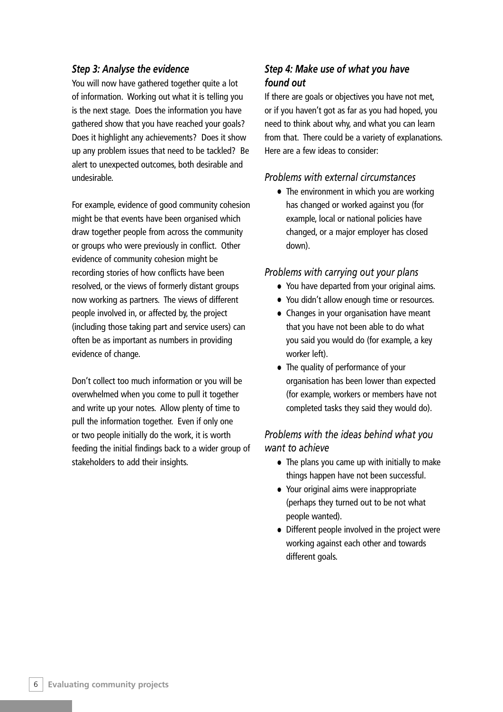#### *Step 3: Analyse the evidence*

You will now have gathered together quite a lot of information. Working out what it is telling you is the next stage. Does the information you have gathered show that you have reached your goals? Does it highlight any achievements? Does it show up any problem issues that need to be tackled? Be alert to unexpected outcomes, both desirable and undesirable.

For example, evidence of good community cohesion might be that events have been organised which draw together people from across the community or groups who were previously in conflict. Other evidence of community cohesion might be recording stories of how conflicts have been resolved, or the views of formerly distant groups now working as partners. The views of different people involved in, or affected by, the project (including those taking part and service users) can often be as important as numbers in providing evidence of change.

Don't collect too much information or you will be overwhelmed when you come to pull it together and write up your notes. Allow plenty of time to pull the information together. Even if only one or two people initially do the work, it is worth feeding the initial findings back to a wider group of stakeholders to add their insights.

#### *Step 4: Make use of what you have found out*

If there are goals or objectives you have not met, or if you haven't got as far as you had hoped, you need to think about why, and what you can learn from that. There could be a variety of explanations. Here are a few ideas to consider:

#### *Problems with external circumstances*

*•* The environment in which you are working has changed or worked against you (for example, local or national policies have changed, or a major employer has closed down).

#### *Problems with carrying out your plans*

- You have departed from your original aims.
- You didn't allow enough time or resources.
- Changes in your organisation have meant that you have not been able to do what you said you would do (for example, a key worker left).
- The quality of performance of your organisation has been lower than expected (for example, workers or members have not completed tasks they said they would do).

#### *Problems with the ideas behind what you want to achieve*

- The plans you came up with initially to make things happen have not been successful.
- Your original aims were inappropriate (perhaps they turned out to be not what people wanted).
- Different people involved in the project were working against each other and towards different goals.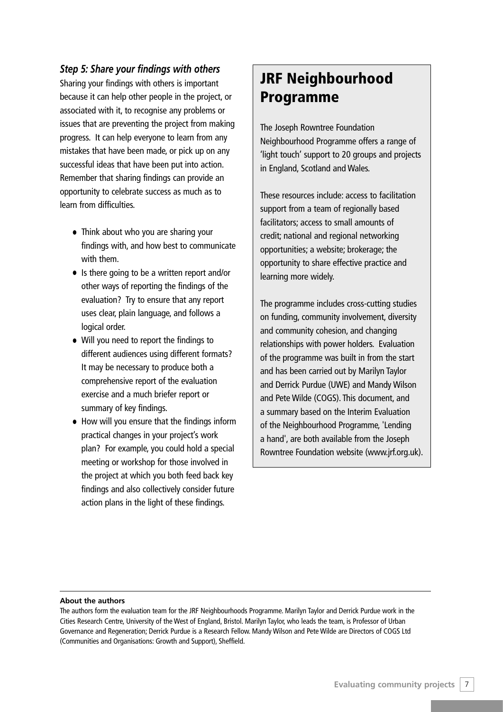#### *Step 5: Share your findings with others*

Sharing your findings with others is important because it can help other people in the project, or associated with it, to recognise any problems or issues that are preventing the project from making progress. It can help everyone to learn from any mistakes that have been made, or pick up on any successful ideas that have been put into action. Remember that sharing findings can provide an opportunity to celebrate success as much as to learn from difficulties.

- Think about who you are sharing your findings with, and how best to communicate with them.
- Is there going to be a written report and/or other ways of reporting the findings of the evaluation? Try to ensure that any report uses clear, plain language, and follows a logical order.
- Will you need to report the findings to different audiences using different formats? It may be necessary to produce both a comprehensive report of the evaluation exercise and a much briefer report or summary of key findings.
- How will you ensure that the findings inform practical changes in your project's work plan? For example, you could hold a special meeting or workshop for those involved in the project at which you both feed back key findings and also collectively consider future action plans in the light of these findings.

### JRF Neighbourhood Programme

The Joseph Rowntree Foundation Neighbourhood Programme offers a range of 'light touch' support to 20 groups and projects in England, Scotland and Wales.

These resources include: access to facilitation support from a team of regionally based facilitators; access to small amounts of credit; national and regional networking opportunities; a website; brokerage; the opportunity to share effective practice and learning more widely.

The programme includes cross-cutting studies on funding, community involvement, diversity and community cohesion, and changing relationships with power holders. Evaluation of the programme was built in from the start and has been carried out by Marilyn Taylor and Derrick Purdue (UWE) and Mandy Wilson and Pete Wilde (COGS). This document, and a summary based on the Interim Evaluation of the Neighbourhood Programme, 'Lending a hand', are both available from the Joseph Rowntree Foundation website (www.jrf.org.uk).

#### **About the authors**

The authors form the evaluation team for the JRF Neighbourhoods Programme. Marilyn Taylor and Derrick Purdue work in the Cities Research Centre, University of the West of England, Bristol. Marilyn Taylor, who leads the team, is Professor of Urban Governance and Regeneration; Derrick Purdue is a Research Fellow. Mandy Wilson and Pete Wilde are Directors of COGS Ltd (Communities and Organisations: Growth and Support), Sheffield.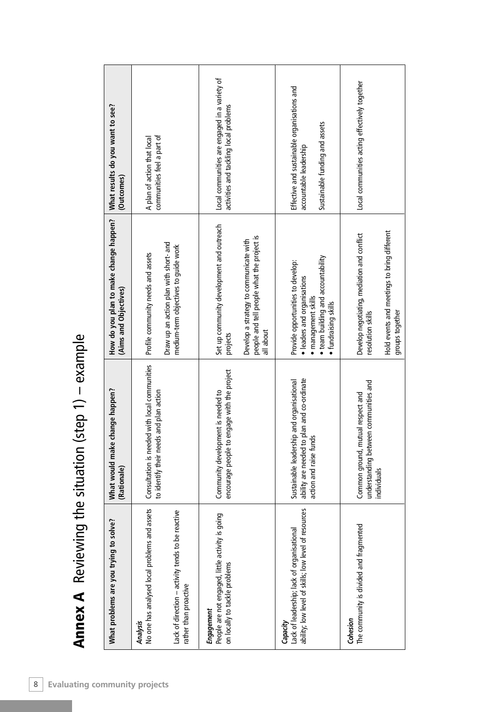| Annex A Reviewing the situation                                                                                | $(\text{step 1}) - \text{example}$                                                                                |                                                                                                                                                     |                                                                                                         |
|----------------------------------------------------------------------------------------------------------------|-------------------------------------------------------------------------------------------------------------------|-----------------------------------------------------------------------------------------------------------------------------------------------------|---------------------------------------------------------------------------------------------------------|
| What problems are you trying to solve?                                                                         | What would make change happen?<br>(Rationale)                                                                     | How do you plan to make change happen?<br>(Aims and Objectives)                                                                                     | What results do you want to see?<br>(Outcomes)                                                          |
| No one has analysed local problems and assets<br>Analysis                                                      | Consultation is needed with local communities<br>to identify their needs and plan action                          | Profile community needs and assets                                                                                                                  | communities feel a part of<br>A plan of action that local                                               |
| Lack of direction - activity tends to be reactive<br>rather than proactive                                     |                                                                                                                   | Draw up an action plan with short- and<br>medium-term objectives to guide work                                                                      |                                                                                                         |
| People are not engaged, little activity is going<br>on locally to tackle problems<br>Engagement                | to engage with the project<br>Community development is needed to<br>encourage people                              | Set up community development and outreach<br>projects                                                                                               | Local communities are engaged in a variety of<br>activities and tackling local problems                 |
|                                                                                                                |                                                                                                                   | people and tell people what the project is<br>Develop a strategy to communicate with<br>all about                                                   |                                                                                                         |
| ability; low level of skills; low level of resources<br>Lack of leadership; lack of organisational<br>Capacity | ability are needed to plan and co-ordinate<br>Sustainable leadership and organisational<br>action and raise funds | • team building and accountability<br>Provide opportunities to develop:<br>· leaders and organisations<br>· management skills<br>fundraising skills | Effective and sustainable organisations and<br>Sustainable funding and assets<br>accountable leadership |
| The community is divided and fragmented<br>Cohesion                                                            | understanding between communities and<br>Common ground, mutual respect and<br>individuals                         | Develop negotiating, mediation and conflict<br>resolution skills                                                                                    | Local communities acting effectively together                                                           |
|                                                                                                                |                                                                                                                   | Hold events and meetings to bring different<br>groups together                                                                                      |                                                                                                         |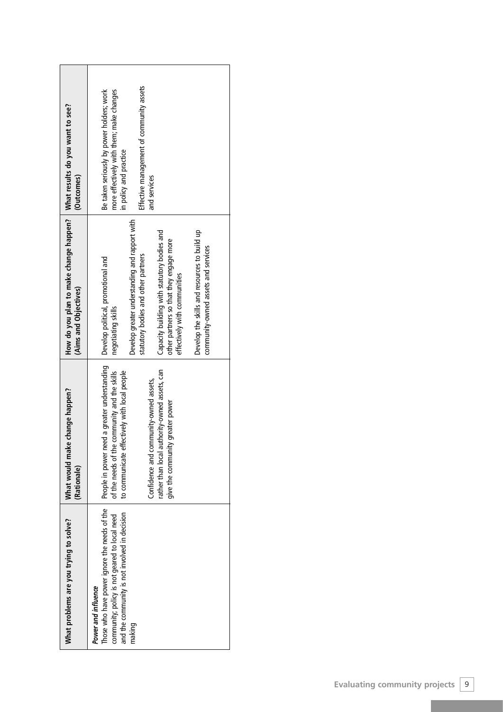| What problems are you trying to solve?                                                                                                                                          | e change happen?<br>What would make<br>(Rationale)                                                                                                                                                                                                                          | How do you plan to make change happen?<br>(Aims and Objectives)                                                                                                                                                                                                                                                                                                    | What results do you want to see?<br>(Outcomes)                                                                                                                              |
|---------------------------------------------------------------------------------------------------------------------------------------------------------------------------------|-----------------------------------------------------------------------------------------------------------------------------------------------------------------------------------------------------------------------------------------------------------------------------|--------------------------------------------------------------------------------------------------------------------------------------------------------------------------------------------------------------------------------------------------------------------------------------------------------------------------------------------------------------------|-----------------------------------------------------------------------------------------------------------------------------------------------------------------------------|
| Those who have power ignore the needs of the<br>and the community is not involved in decision<br>community; policy is not geared to local need<br>Power and influence<br>making | People in power need a greater understanding<br>rather than local authority-owned assets, can<br>to communicate effectively with local people<br>of the needs of the community and the skills<br>Confidence and community-owned assets,<br>give the community greater power | Develop greater understanding and rapport with<br>Develop the skills and resources to build up<br>Capacity building with statutory bodies and<br>other partners so that they engage more<br>community-owned assets and services<br>statutory bodies and other partners<br>Develop political, promotional and<br>effectively with communities<br>negotiating skills | Effective management of community assets<br>Be taken seriously by power holders; work<br>more effectively with them; make changes<br>in policy and practice<br>and services |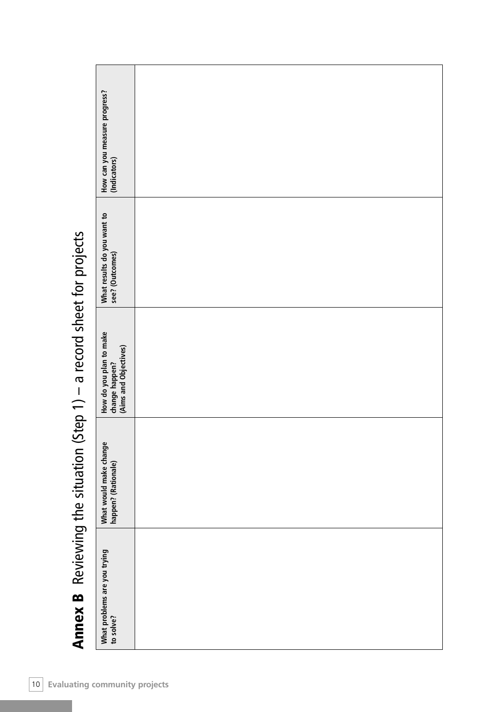| How can you measure progress?<br>(Indicators)                      |  |  |
|--------------------------------------------------------------------|--|--|
| What results do you want to<br>see? (Outcomes)                     |  |  |
| How do you plan to make<br>change happen?<br>(Aims and Objectives) |  |  |
| What would make change<br>happen? (Rationale)                      |  |  |
| What problems are you trying<br>to solve?                          |  |  |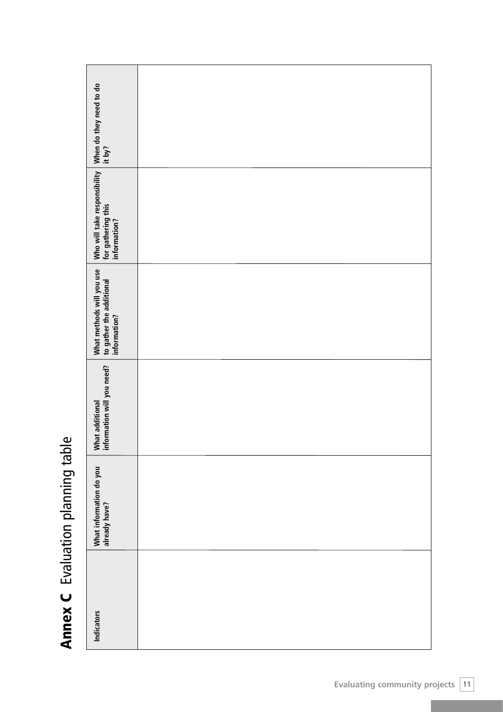| When do they need to do<br>it by?                                     |  |
|-----------------------------------------------------------------------|--|
| Who will take responsibility<br>for gathering this<br>information?    |  |
| What methods will you use<br>to gather the additional<br>information? |  |
| What additional<br>information will you need?                         |  |
| What information do you<br>already have?                              |  |
| Indicators                                                            |  |

Annex C Evaluation planning table Annex C Evaluation planning table